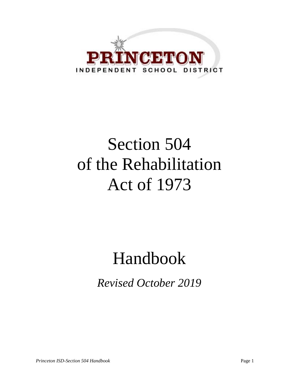

# Section 504 of the Rehabilitation Act of 1973

# Handbook

*Revised October 2019*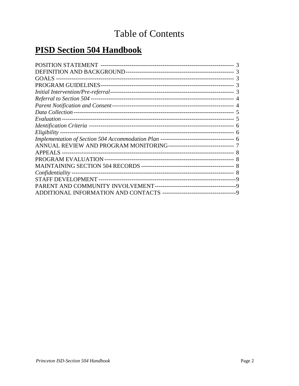# **Table of Contents**

# **PISD Section 504 Handbook**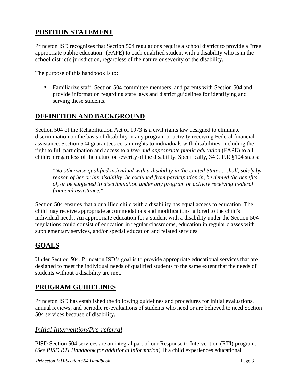## **POSITION STATEMENT**

Princeton ISD recognizes that Section 504 regulations require a school district to provide a "free appropriate public education" (FAPE) to each qualified student with a disability who is in the school district's jurisdiction, regardless of the nature or severity of the disability.

The purpose of this handbook is to:

• Familiarize staff, Section 504 committee members, and parents with Section 504 and provide information regarding state laws and district guidelines for identifying and serving these students.

# **DEFINITION AND BACKGROUND**

Section 504 of the Rehabilitation Act of 1973 is a civil rights law designed to eliminate discrimination on the basis of disability in any program or activity receiving Federal financial assistance. Section 504 guarantees certain rights to individuals with disabilities, including the right to full participation and access to a *free and appropriate public education* (FAPE) to all children regardless of the nature or severity of the disability. Specifically, 34 C.F.R.§104 states:

*"No otherwise qualified individual with a disability in the United States... shall, solely by reason of her or his disability, be excluded from participation in, be denied the benefits of, or be subjected to discrimination under any program or activity receiving Federal financial assistance."* 

Section 504 ensures that a qualified child with a disability has equal access to education. The child may receive appropriate accommodations and modifications tailored to the child's individual needs. An appropriate education for a student with a disability under the Section 504 regulations could consist of education in regular classrooms, education in regular classes with supplementary services, and/or special education and related services.

# **GOALS**

Under Section 504, Princeton ISD's goal is to provide appropriate educational services that are designed to meet the individual needs of qualified students to the same extent that the needs of students without a disability are met.

# **PROGRAM GUIDELINES**

Princeton ISD has established the following guidelines and procedures for initial evaluations, annual reviews, and periodic re-evaluations of students who need or are believed to need Section 504 services because of disability.

#### *Initial Intervention/Pre-referral*

PISD Section 504 services are an integral part of our Response to Intervention (RTI) program. (*See PISD RTI Handbook for additional information).* If a child experiences educational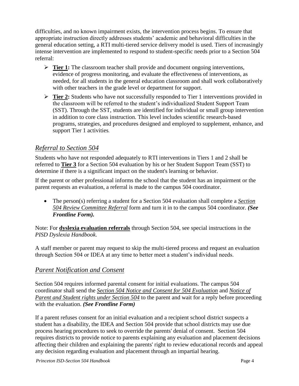difficulties, and no known impairment exists, the intervention process begins. To ensure that appropriate instruction directly addresses students' academic and behavioral difficulties in the general education setting, a RTI multi-tiered service delivery model is used. Tiers of increasingly intense intervention are implemented to respond to student-specific needs prior to a Section 504 referral:

- **Tier 1:** The classroom teacher shall provide and document ongoing interventions, evidence of progress monitoring, and evaluate the effectiveness of interventions, as needed, for all students in the general education classroom and shall work collaboratively with other teachers in the grade level or department for support.
- **►** Tier 2: Students who have not successfully responded to Tier 1 interventions provided in the classroom will be referred to the student's individualized Student Support Team (SST). Through the SST, students are identified for individual or small group intervention in addition to core class instruction. This level includes scientific research-based programs, strategies, and procedures designed and employed to supplement, enhance, and support Tier 1 activities*.*

### *Referral to Section 504*

Students who have not responded adequately to RTI interventions in Tiers 1 and 2 shall be referred to **Tier 3** for a Section 504 evaluation by his or her Student Support Team (SST) to determine if there is a significant impact on the student's learning or behavior.

If the parent or other professional informs the school that the student has an impairment or the parent requests an evaluation, a referral is made to the campus 504 coordinator.

 The person(s) referring a student for a Section 504 evaluation shall complete a *Section 504 Review Committee Referral* form and turn it in to the campus 504 coordinator. *(See Frontline Form).*

Note: For **dyslexia evaluation referrals** through Section 504, see special instructions in the *PISD Dyslexia Handbook*.

A staff member or parent may request to skip the multi-tiered process and request an evaluation through Section 504 or IDEA at any time to better meet a student's individual needs.

#### *Parent Notification and Consent*

Section 504 requires informed parental consent for initial evaluations. The campus 504 coordinator shall send the *Section 504 Notice and Consent for 504 Evaluation* and *Notice of Parent and Student rights under Section 504* to the parent and wait for a reply before proceeding with the evaluation. *(See Frontline Form)*

If a parent refuses consent for an initial evaluation and a recipient school district suspects a student has a disability, the IDEA and Section 504 provide that school districts may use due process hearing procedures to seek to override the parents' denial of consent. Section 504 requires districts to provide notice to parents explaining any evaluation and placement decisions affecting their children and explaining the parents' right to review educational records and appeal any decision regarding evaluation and placement through an impartial hearing.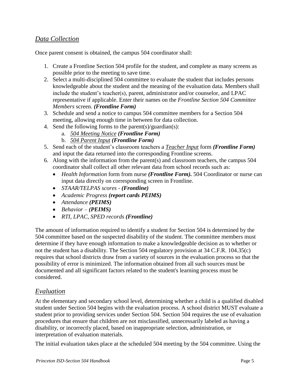#### *Data Collection*

Once parent consent is obtained, the campus 504 coordinator shall:

- 1. Create a Frontline Section 504 profile for the student, and complete as many screens as possible prior to the meeting to save time.
- 2. Select a multi-disciplined 504 committee to evaluate the student that includes persons knowledgeable about the student and the meaning of the evaluation data. Members shall include the student's teacher(s), parent, administrator and/or counselor, and LPAC representative if applicable. Enter their names on the *Frontline Section 504 Committee Members* screen. *(Frontline Form)*
- 3. Schedule and send a notice to campus 504 committee members for a Section 504 meeting, allowing enough time in between for data collection.
- 4. Send the following forms to the parent(s)/guardian(s):
	- a. *504 Meeting Notice (Frontline Form)*
	- b. *504 Parent Input (Frontline Form)*
- 5. Send each of the student's classroom teachers a *Teacher Input* form *(Frontline Form)* and input the data returned into the corresponding Frontline screens.
- 6. Along with the information from the parent(s) and classroom teachers, the campus 504 coordinator shall collect all other relevant data from school records such as:
	- *Health Information* form from nurse *(Frontline Form).* 504 Coordinator or nurse can input data directly on corresponding screen in Frontline.
	- *STAAR/TELPAS scores - (Frontline)*
	- *Academic Progress (report cards PEIMS)*
	- *Attendance (PEIMS)*
	- *Behavior – (PEIMS)*
	- *RTI, LPAC, SPED records (Frontline)*

The amount of information required to identify a student for Section 504 is determined by the 504 committee based on the suspected disability of the student. The committee members must determine if they have enough information to make a knowledgeable decision as to whether or not the student has a disability. The Section 504 regulatory provision at 34 C.F.R. 104.35(c) requires that school districts draw from a variety of sources in the evaluation process so that the possibility of error is minimized. The information obtained from all such sources must be documented and all significant factors related to the student's learning process must be considered.

#### *Evaluation*

At the elementary and secondary school level, determining whether a child is a qualified disabled student under Section 504 begins with the evaluation process. A school district MUST evaluate a student prior to providing services under Section 504. Section 504 requires the use of evaluation procedures that ensure that children are not misclassified, unnecessarily labeled as having a disability, or incorrectly placed, based on inappropriate selection, administration, or interpretation of evaluation materials.

The initial evaluation takes place at the scheduled 504 meeting by the 504 committee. Using the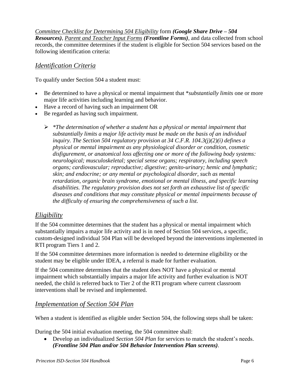#### *Committee Checklist for Determining 504 Eligibility* form *(Google Share Drive – 504*

*Resources)*, *Parent and Teacher Input Forms (Frontline Forms)*, and data collected from school records, the committee determines if the student is eligible for Section 504 services based on the following identification criteria:

#### *Identification Criteria*

To qualify under Section 504 a student must:

- Be determined to have a physical or mental impairment that \**substantially limits* one or more major life activities including learning and behavior.
- Have a record of having such an impairment OR
- Be regarded as having such impairment.
	- *\*The determination of whether a student has a physical or mental impairment that substantially limits a major life activity must be made on the basis of an individual inquiry. The Section 504 regulatory provision at 34 C.F.R. 104.3(j)(2)(i) defines a physical or mental impairment as any physiological disorder or condition, cosmetic disfigurement, or anatomical loss affecting one or more of the following body systems: neurological; musculoskeletal; special sense organs; respiratory, including speech organs; cardiovascular; reproductive; digestive; genito-urinary; hemic and lymphatic; skin; and endocrine; or any mental or psychological disorder, such as mental retardation, organic brain syndrome, emotional or mental illness, and specific learning disabilities. The regulatory provision does not set forth an exhaustive list of specific diseases and conditions that may constitute physical or mental impairments because of the difficulty of ensuring the comprehensiveness of such a list.*

#### *Eligibility*

If the 504 committee determines that the student has a physical or mental impairment which substantially impairs a major life activity and is in need of Section 504 services, a specific, custom-designed individual 504 Plan will be developed beyond the interventions implemented in RTI program Tiers 1 and 2.

If the 504 committee determines more information is needed to determine eligibility or the student may be eligible under IDEA, a referral is made for further evaluation.

If the 504 committee determines that the student does NOT have a physical or mental impairment which substantially impairs a major life activity and further evaluation is NOT needed, the child is referred back to Tier 2 of the RTI program where current classroom interventions shall be revised and implemented.

#### *Implementation of Section 504 Plan*

When a student is identified as eligible under Section 504, the following steps shall be taken:

During the 504 initial evaluation meeting, the 504 committee shall:

 Develop an individualized *Section 504 Plan* for services to match the student's needs. *(Frontline 504 Plan and/or 504 Behavior Intervention Plan screens)*.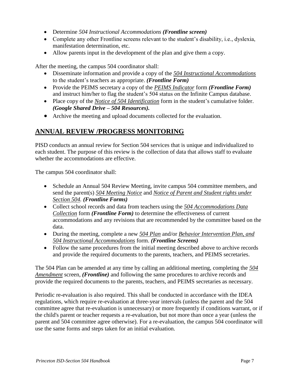- Determine *504 Instructional Accommodations (Frontline screen)*
- Complete any other Frontline screens relevant to the student's disability, i.e., dyslexia, manifestation determination, etc.
- Allow parents input in the development of the plan and give them a copy.

After the meeting, the campus 504 coordinator shall:

- Disseminate information and provide a copy of the *504 Instructional Accommodations* to the student's teachers as appropriate. *(Frontline Form)*
- Provide the PEIMS secretary a copy of the *PEIMS Indicator* form *(Frontline Form)* and instruct him/her to flag the student's 504 status on the Infinite Campus database.
- Place copy of the *Notice of 504 Identification* form in the student's cumulative folder. *(Google Shared Drive – 504 Resources).*
- Archive the meeting and upload documents collected for the evaluation.

## **ANNUAL REVIEW /PROGRESS MONITORING**

PISD conducts an annual review for Section 504 services that is unique and individualized to each student. The purpose of this review is the collection of data that allows staff to evaluate whether the accommodations are effective.

The campus 504 coordinator shall:

- Schedule an Annual 504 Review Meeting, invite campus 504 committee members, and send the parent(s) *504 Meeting Notice* and *Notice of Parent and Student rights under Section 504. (Frontline Forms)*
- Collect school records and data from teachers using the *504 Accommodations Data Collection* form *(Frontline Form)* to determine the effectiveness of current accommodations and any revisions that are recommended by the committee based on the data.
- During the meeting, complete a new *504 Plan* and/or *Behavior Intervention Plan, and 504 Instructional Accommodations* form. *(Frontline Screens)*
- Follow the same procedures from the initial meeting described above to archive records and provide the required documents to the parents, teachers, and PEIMS secretaries.

The 504 Plan can be amended at any time by calling an additional meeting, completing the *504 Amendment* screen, *(Frontline)* and following the same procedures to archive records and provide the required documents to the parents, teachers, and PEIMS secretaries as necessary.

Periodic re-evaluation is also required. This shall be conducted in accordance with the IDEA regulations, which require re-evaluation at three-year intervals (unless the parent and the 504 committee agree that re-evaluation is unnecessary) or more frequently if conditions warrant, or if the child's parent or teacher requests a re-evaluation, but not more than once a year (unless the parent and 504 committee agree otherwise). For a re-evaluation, the campus 504 coordinator will use the same forms and steps taken for an initial evaluation.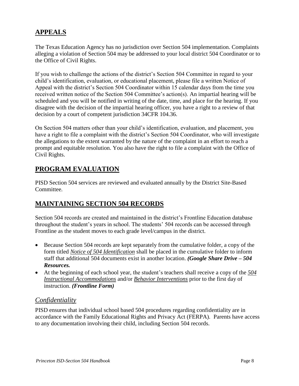# **APPEALS**

The Texas Education Agency has no jurisdiction over Section 504 implementation. Complaints alleging a violation of Section 504 may be addressed to your local district 504 Coordinator or to the Office of Civil Rights.

If you wish to challenge the actions of the district's Section 504 Committee in regard to your child's identification, evaluation, or educational placement, please file a written Notice of Appeal with the district's Section 504 Coordinator within 15 calendar days from the time you received written notice of the Section 504 Committee's action(s). An impartial hearing will be scheduled and you will be notified in writing of the date, time, and place for the hearing. If you disagree with the decision of the impartial hearing officer, you have a right to a review of that decision by a court of competent jurisdiction 34CFR 104.36.

On Section 504 matters other than your child's identification, evaluation, and placement, you have a right to file a complaint with the district's Section 504 Coordinator, who will investigate the allegations to the extent warranted by the nature of the complaint in an effort to reach a prompt and equitable resolution. You also have the right to file a complaint with the Office of Civil Rights.

# **PROGRAM EVALUATION**

PISD Section 504 services are reviewed and evaluated annually by the District Site-Based Committee.

# **MAINTAINING SECTION 504 RECORDS**

Section 504 records are created and maintained in the district's Frontline Education database throughout the student's years in school. The students' 504 records can be accessed through Frontline as the student moves to each grade level/campus in the district.

- Because Section 504 records are kept separately from the cumulative folder, a copy of the form titled *Notice of 504 Identification* shall be placed in the cumulative folder to inform staff that additional 504 documents exist in another location. *(Google Share Drive – 504 Resources.*
- At the beginning of each school year, the student's teachers shall receive a copy of the *504 Instructional Accommodations* and/or *Behavior Interventions* prior to the first day of instruction. *(Frontline Form)*

#### *Confidentiality*

PISD ensures that individual school based 504 procedures regarding confidentiality are in accordance with the Family Educational Rights and Privacy Act (FERPA). Parents have access to any documentation involving their child, including Section 504 records.